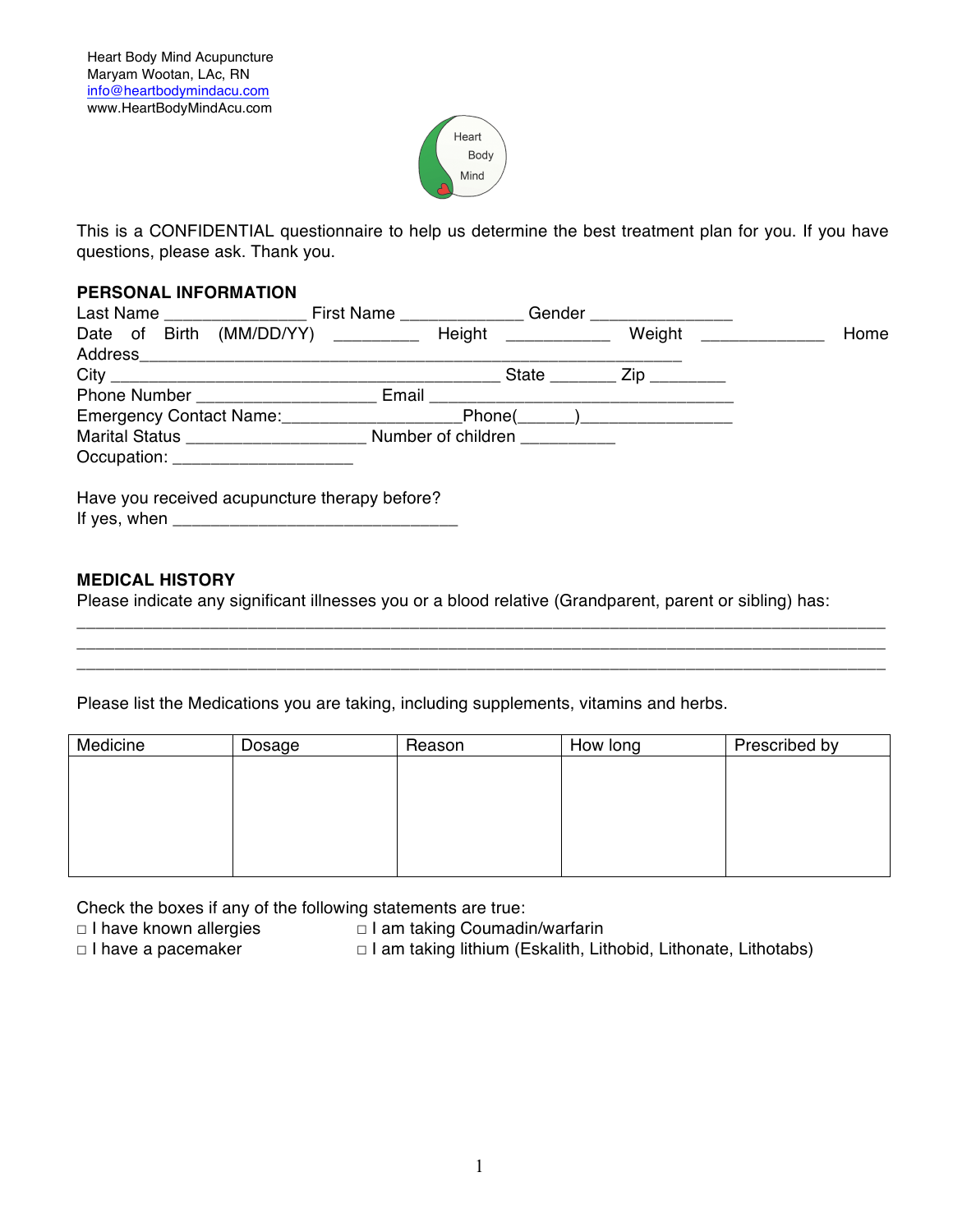

This is a CONFIDENTIAL questionnaire to help us determine the best treatment plan for you. If you have questions, please ask. Thank you.

### **PERSONAL INFORMATION**

| Last Name _____________________ First Name ________________ Gender _____________                 |                                                     |  |      |
|--------------------------------------------------------------------------------------------------|-----------------------------------------------------|--|------|
| Date of Birth (MM/DD/YY) ________ Height __________ Weight _________                             |                                                     |  | Home |
|                                                                                                  |                                                     |  |      |
|                                                                                                  | State $\frac{1}{\sqrt{2}}$ Zip $\frac{1}{\sqrt{2}}$ |  |      |
|                                                                                                  |                                                     |  |      |
| Emergency Contact Name:<br><u>[</u> [11][12] Demands Contact Name:<br>[12] Demands Contact Name: | $\boxed{\text{Phone}(\_\_\_\_\_)}$                  |  |      |
|                                                                                                  |                                                     |  |      |
| Occupation: _______________________                                                              |                                                     |  |      |
| Have you received acupuncture therapy before?                                                    |                                                     |  |      |

### **MEDICAL HISTORY**

Please indicate any significant illnesses you or a blood relative (Grandparent, parent or sibling) has:

\_\_\_\_\_\_\_\_\_\_\_\_\_\_\_\_\_\_\_\_\_\_\_\_\_\_\_\_\_\_\_\_\_\_\_\_\_\_\_\_\_\_\_\_\_\_\_\_\_\_\_\_\_\_\_\_\_\_\_\_\_\_\_\_\_\_\_\_\_\_\_\_\_\_\_\_\_\_\_\_\_\_\_\_\_ \_\_\_\_\_\_\_\_\_\_\_\_\_\_\_\_\_\_\_\_\_\_\_\_\_\_\_\_\_\_\_\_\_\_\_\_\_\_\_\_\_\_\_\_\_\_\_\_\_\_\_\_\_\_\_\_\_\_\_\_\_\_\_\_\_\_\_\_\_\_\_\_\_\_\_\_\_\_\_\_\_\_\_\_\_ \_\_\_\_\_\_\_\_\_\_\_\_\_\_\_\_\_\_\_\_\_\_\_\_\_\_\_\_\_\_\_\_\_\_\_\_\_\_\_\_\_\_\_\_\_\_\_\_\_\_\_\_\_\_\_\_\_\_\_\_\_\_\_\_\_\_\_\_\_\_\_\_\_\_\_\_\_\_\_\_\_\_\_\_\_

Please list the Medications you are taking, including supplements, vitamins and herbs.

| Medicine | Dosage | Reason | How long | Prescribed by |
|----------|--------|--------|----------|---------------|
|          |        |        |          |               |
|          |        |        |          |               |
|          |        |        |          |               |
|          |        |        |          |               |
|          |        |        |          |               |

Check the boxes if any of the following statements are true:

**☐** I have known allergies **☐** I am taking Coumadin/warfarin

- 
- **☐** I have a pacemaker **☐** I am taking lithium (Eskalith, Lithobid, Lithonate, Lithotabs)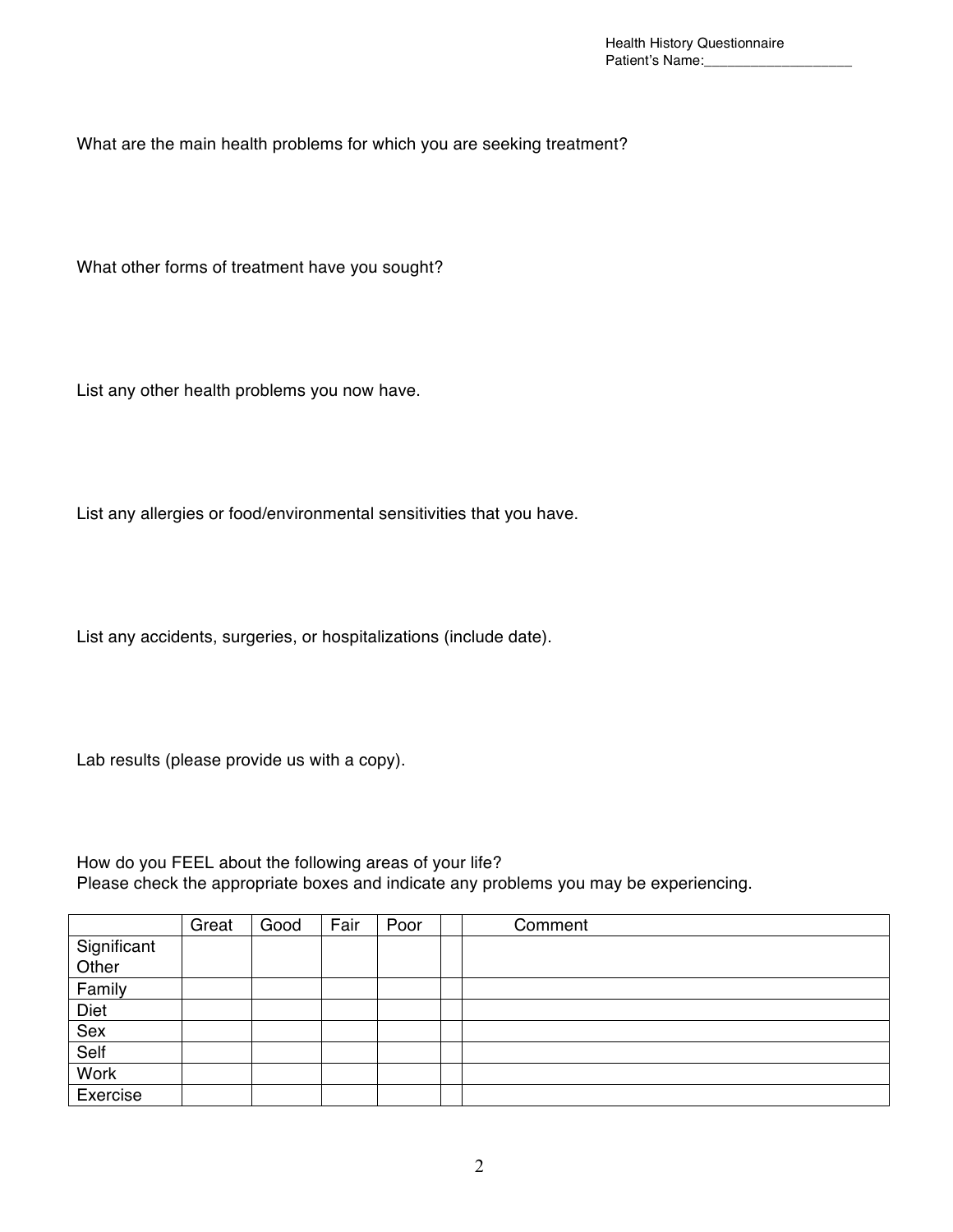What are the main health problems for which you are seeking treatment?

What other forms of treatment have you sought?

List any other health problems you now have.

List any allergies or food/environmental sensitivities that you have.

List any accidents, surgeries, or hospitalizations (include date).

Lab results (please provide us with a copy).

How do you FEEL about the following areas of your life? Please check the appropriate boxes and indicate any problems you may be experiencing.

|                      | Great | Good | Fair | Poor | Comment |
|----------------------|-------|------|------|------|---------|
| Significant<br>Other |       |      |      |      |         |
|                      |       |      |      |      |         |
| Family               |       |      |      |      |         |
| Diet                 |       |      |      |      |         |
| Sex                  |       |      |      |      |         |
| Self                 |       |      |      |      |         |
| <b>Work</b>          |       |      |      |      |         |
| Exercise             |       |      |      |      |         |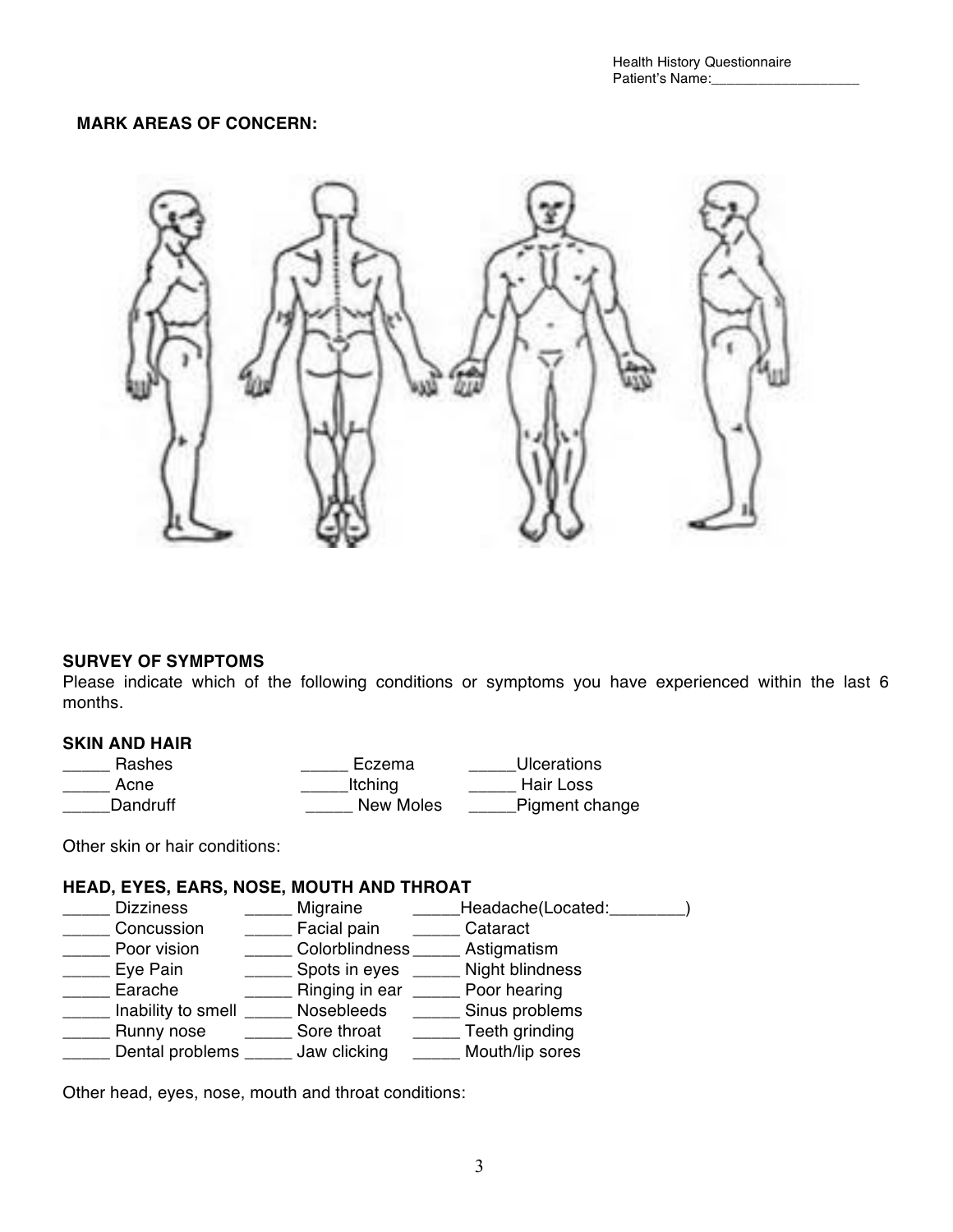### **MARK AREAS OF CONCERN:**



#### **SURVEY OF SYMPTOMS**

Please indicate which of the following conditions or symptoms you have experienced within the last 6 months.

### **SKIN AND HAIR**

| Rashes   | Eczema    | Ulcerations    |
|----------|-----------|----------------|
| Acne     | Itching   | Hair Loss      |
| Dandruff | New Moles | Pigment change |

Other skin or hair conditions:

#### **HEAD, EYES, EARS, NOSE, MOUTH AND THROAT**

- \_\_\_\_\_ Dizziness \_\_\_\_\_\_\_ Migraine \_\_\_\_\_\_Headache(Located:\_\_\_\_\_\_\_\_)
- \_\_\_\_\_\_ Concussion \_\_\_\_\_\_\_ Facial pain \_\_\_\_\_\_ Cataract<br>
\_\_\_\_\_ Poor vision colorblindness Astiamati
- \_\_\_\_\_ Colorblindness \_\_\_\_\_ Astigmatism
- 
- Lowing Eye Pain **Lowing Spots in eyes Lowing Right blindness**<br>
Lowing Earache **Container Earness** Ringing in ear **Container Poor hearing** \_\_\_\_\_ Ringing in ear \_\_\_\_\_ Poor hearing
- \_\_\_\_\_ Inability to smell \_\_\_\_\_ Nosebleeds \_\_\_\_\_ Sinus problems
- \_\_\_\_\_ Runny nose \_\_\_\_\_ Sore throat \_\_\_\_\_ Teeth grinding
- \_\_\_\_\_ Dental problems \_\_\_\_\_ Jaw clicking \_\_\_\_\_ Mouth/lip sores

Other head, eyes, nose, mouth and throat conditions: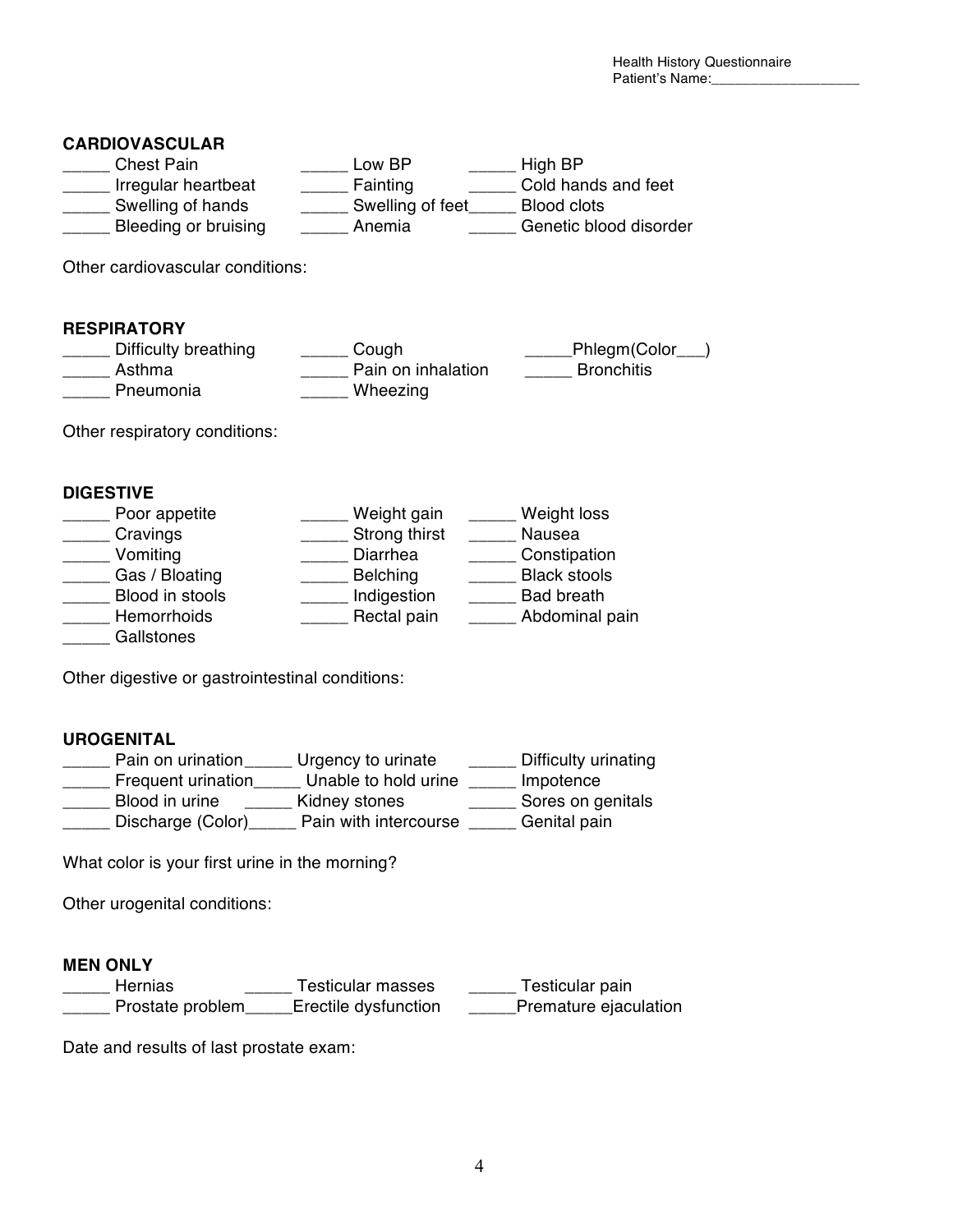# **CARDIOVASCULAR**

| <b>Chest Pain</b>    | Low BP           | High BP                |
|----------------------|------------------|------------------------|
| Irregular heartbeat  | Fainting         | Cold hands and feet    |
| Swelling of hands    | Swelling of feet | Blood clots            |
| Bleeding or bruising | Anemia           | Genetic blood disorder |

Other cardiovascular conditions:

# **RESPIRATORY**

| Difficulty breathing | Cough              | _Phlegm(Color_    |
|----------------------|--------------------|-------------------|
| Asthma               | Pain on inhalation | <b>Bronchitis</b> |
| Pneumonia            | Wheezing           |                   |

Other respiratory conditions:

### **DIGESTIVE**

| Poor appetite   | Weight gain     | Weight loss         |
|-----------------|-----------------|---------------------|
| Cravings        | Strong thirst   | Nausea              |
| Vomiting        | Diarrhea        | Constipation        |
| Gas / Bloating  | <b>Belching</b> | <b>Black stools</b> |
| Blood in stools | Indigestion     | <b>Bad breath</b>   |
| Hemorrhoids     | Rectal pain     | Abdominal pain      |
| Gallstones      |                 |                     |

Other digestive or gastrointestinal conditions:

# **UROGENITAL**

| Pain on urination  | Urgency to urinate    | Difficulty urinating |
|--------------------|-----------------------|----------------------|
| Frequent urination | Unable to hold urine  | Impotence            |
| Blood in urine     | Kidney stones         | Sores on genitals    |
| Discharge (Color)  | Pain with intercourse | Genital pain         |

What color is your first urine in the morning?

Other urogenital conditions:

# **MEN ONLY**

| <b>Hernias</b>   | <b>Testicular masses</b> | Testicular pain       |
|------------------|--------------------------|-----------------------|
| Prostate problem | Erectile dysfunction     | Premature ejaculation |

Date and results of last prostate exam: